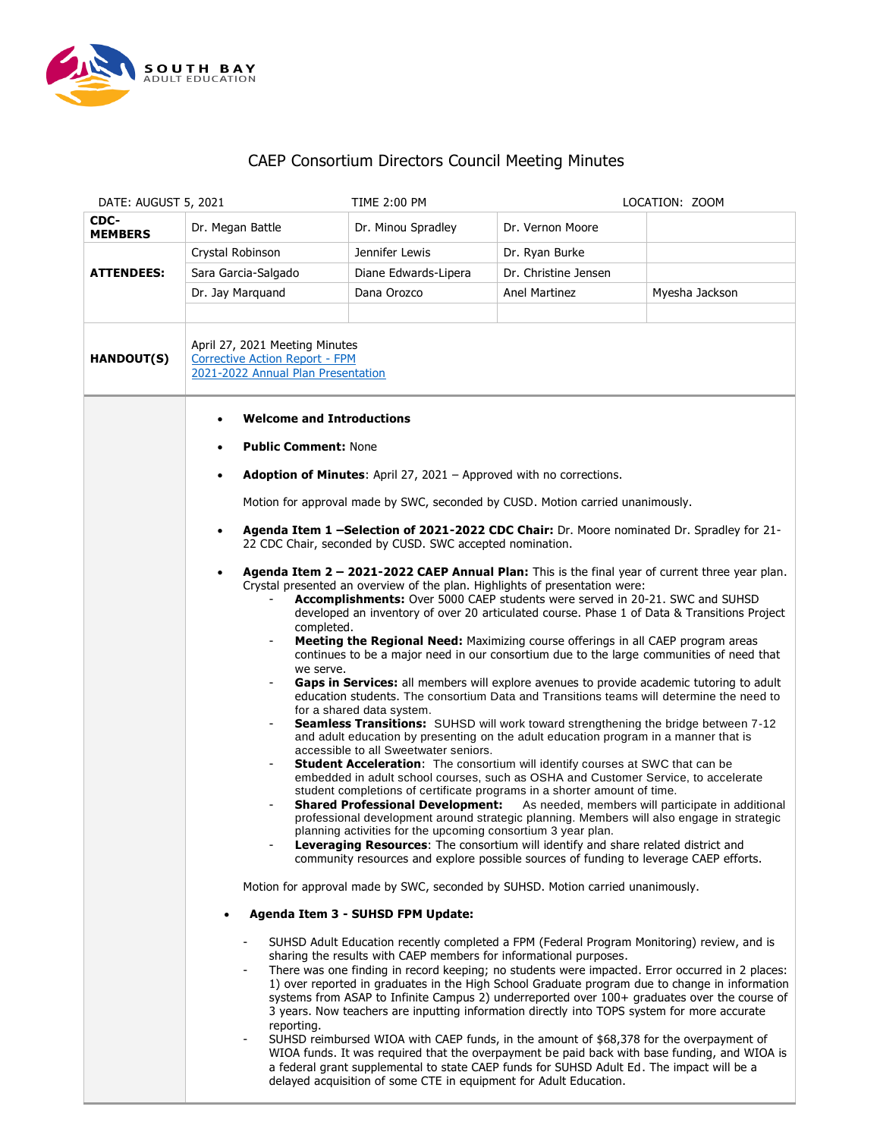

## CAEP Consortium Directors Council Meeting Minutes

| DATE: AUGUST 5, 2021                                                                                                               |                                                                                                                                                                                                                                                                                                                                                                                                                                                                                                                                                                                                                                                                                                                                                                                                                                                                                                                                                                                                                                                                                                                                                                                                                                                                                                                                                                                                                                                                                                                                                                                                                                                                                                                                                                                                                                                                                                                                                                                                                                                                                                                                                                                                                                                        | <b>TIME 2:00 PM</b>                                                                                                                                                                                                                                                                                                                                                                                                                                                                                                         |                      | LOCATION: ZOOM                                                                                                                                                                                                                                                                                                                                                                                    |
|------------------------------------------------------------------------------------------------------------------------------------|--------------------------------------------------------------------------------------------------------------------------------------------------------------------------------------------------------------------------------------------------------------------------------------------------------------------------------------------------------------------------------------------------------------------------------------------------------------------------------------------------------------------------------------------------------------------------------------------------------------------------------------------------------------------------------------------------------------------------------------------------------------------------------------------------------------------------------------------------------------------------------------------------------------------------------------------------------------------------------------------------------------------------------------------------------------------------------------------------------------------------------------------------------------------------------------------------------------------------------------------------------------------------------------------------------------------------------------------------------------------------------------------------------------------------------------------------------------------------------------------------------------------------------------------------------------------------------------------------------------------------------------------------------------------------------------------------------------------------------------------------------------------------------------------------------------------------------------------------------------------------------------------------------------------------------------------------------------------------------------------------------------------------------------------------------------------------------------------------------------------------------------------------------------------------------------------------------------------------------------------------------|-----------------------------------------------------------------------------------------------------------------------------------------------------------------------------------------------------------------------------------------------------------------------------------------------------------------------------------------------------------------------------------------------------------------------------------------------------------------------------------------------------------------------------|----------------------|---------------------------------------------------------------------------------------------------------------------------------------------------------------------------------------------------------------------------------------------------------------------------------------------------------------------------------------------------------------------------------------------------|
| CDC-<br><b>MEMBERS</b>                                                                                                             | Dr. Megan Battle                                                                                                                                                                                                                                                                                                                                                                                                                                                                                                                                                                                                                                                                                                                                                                                                                                                                                                                                                                                                                                                                                                                                                                                                                                                                                                                                                                                                                                                                                                                                                                                                                                                                                                                                                                                                                                                                                                                                                                                                                                                                                                                                                                                                                                       | Dr. Minou Spradley                                                                                                                                                                                                                                                                                                                                                                                                                                                                                                          | Dr. Vernon Moore     |                                                                                                                                                                                                                                                                                                                                                                                                   |
| <b>ATTENDEES:</b>                                                                                                                  | Crystal Robinson                                                                                                                                                                                                                                                                                                                                                                                                                                                                                                                                                                                                                                                                                                                                                                                                                                                                                                                                                                                                                                                                                                                                                                                                                                                                                                                                                                                                                                                                                                                                                                                                                                                                                                                                                                                                                                                                                                                                                                                                                                                                                                                                                                                                                                       | Jennifer Lewis                                                                                                                                                                                                                                                                                                                                                                                                                                                                                                              | Dr. Ryan Burke       |                                                                                                                                                                                                                                                                                                                                                                                                   |
|                                                                                                                                    | Sara Garcia-Salgado                                                                                                                                                                                                                                                                                                                                                                                                                                                                                                                                                                                                                                                                                                                                                                                                                                                                                                                                                                                                                                                                                                                                                                                                                                                                                                                                                                                                                                                                                                                                                                                                                                                                                                                                                                                                                                                                                                                                                                                                                                                                                                                                                                                                                                    | Diane Edwards-Lipera                                                                                                                                                                                                                                                                                                                                                                                                                                                                                                        | Dr. Christine Jensen |                                                                                                                                                                                                                                                                                                                                                                                                   |
|                                                                                                                                    | Dr. Jay Marquand                                                                                                                                                                                                                                                                                                                                                                                                                                                                                                                                                                                                                                                                                                                                                                                                                                                                                                                                                                                                                                                                                                                                                                                                                                                                                                                                                                                                                                                                                                                                                                                                                                                                                                                                                                                                                                                                                                                                                                                                                                                                                                                                                                                                                                       | Dana Orozco                                                                                                                                                                                                                                                                                                                                                                                                                                                                                                                 | Anel Martinez        | Myesha Jackson                                                                                                                                                                                                                                                                                                                                                                                    |
| April 27, 2021 Meeting Minutes<br><b>HANDOUT(S)</b><br><b>Corrective Action Report - FPM</b><br>2021-2022 Annual Plan Presentation |                                                                                                                                                                                                                                                                                                                                                                                                                                                                                                                                                                                                                                                                                                                                                                                                                                                                                                                                                                                                                                                                                                                                                                                                                                                                                                                                                                                                                                                                                                                                                                                                                                                                                                                                                                                                                                                                                                                                                                                                                                                                                                                                                                                                                                                        |                                                                                                                                                                                                                                                                                                                                                                                                                                                                                                                             |                      |                                                                                                                                                                                                                                                                                                                                                                                                   |
|                                                                                                                                    | <b>Welcome and Introductions</b><br>$\bullet$                                                                                                                                                                                                                                                                                                                                                                                                                                                                                                                                                                                                                                                                                                                                                                                                                                                                                                                                                                                                                                                                                                                                                                                                                                                                                                                                                                                                                                                                                                                                                                                                                                                                                                                                                                                                                                                                                                                                                                                                                                                                                                                                                                                                          |                                                                                                                                                                                                                                                                                                                                                                                                                                                                                                                             |                      |                                                                                                                                                                                                                                                                                                                                                                                                   |
|                                                                                                                                    | <b>Public Comment: None</b><br><b>Adoption of Minutes:</b> April 27, 2021 – Approved with no corrections.<br>$\bullet$<br>Motion for approval made by SWC, seconded by CUSD. Motion carried unanimously.<br>Agenda Item 1 -Selection of 2021-2022 CDC Chair: Dr. Moore nominated Dr. Spradley for 21-<br>$\bullet$<br>22 CDC Chair, seconded by CUSD. SWC accepted nomination.<br>Agenda Item 2 - 2021-2022 CAEP Annual Plan: This is the final year of current three year plan.<br>$\bullet$<br>Crystal presented an overview of the plan. Highlights of presentation were:<br>Accomplishments: Over 5000 CAEP students were served in 20-21. SWC and SUHSD<br>developed an inventory of over 20 articulated course. Phase 1 of Data & Transitions Project<br>completed.<br>Meeting the Regional Need: Maximizing course offerings in all CAEP program areas<br>continues to be a major need in our consortium due to the large communities of need that<br>we serve.<br>Gaps in Services: all members will explore avenues to provide academic tutoring to adult<br>education students. The consortium Data and Transitions teams will determine the need to<br>for a shared data system.<br><b>Seamless Transitions:</b> SUHSD will work toward strengthening the bridge between 7-12<br>and adult education by presenting on the adult education program in a manner that is<br>accessible to all Sweetwater seniors.<br><b>Student Acceleration:</b> The consortium will identify courses at SWC that can be<br>embedded in adult school courses, such as OSHA and Customer Service, to accelerate<br>student completions of certificate programs in a shorter amount of time.<br><b>Shared Professional Development:</b><br>As needed, members will participate in additional<br>professional development around strategic planning. Members will also engage in strategic<br>planning activities for the upcoming consortium 3 year plan.<br>Leveraging Resources: The consortium will identify and share related district and<br>community resources and explore possible sources of funding to leverage CAEP efforts.<br>Motion for approval made by SWC, seconded by SUHSD. Motion carried unanimously.<br>Agenda Item 3 - SUHSD FPM Update: |                                                                                                                                                                                                                                                                                                                                                                                                                                                                                                                             |                      |                                                                                                                                                                                                                                                                                                                                                                                                   |
|                                                                                                                                    |                                                                                                                                                                                                                                                                                                                                                                                                                                                                                                                                                                                                                                                                                                                                                                                                                                                                                                                                                                                                                                                                                                                                                                                                                                                                                                                                                                                                                                                                                                                                                                                                                                                                                                                                                                                                                                                                                                                                                                                                                                                                                                                                                                                                                                                        |                                                                                                                                                                                                                                                                                                                                                                                                                                                                                                                             |                      |                                                                                                                                                                                                                                                                                                                                                                                                   |
|                                                                                                                                    |                                                                                                                                                                                                                                                                                                                                                                                                                                                                                                                                                                                                                                                                                                                                                                                                                                                                                                                                                                                                                                                                                                                                                                                                                                                                                                                                                                                                                                                                                                                                                                                                                                                                                                                                                                                                                                                                                                                                                                                                                                                                                                                                                                                                                                                        |                                                                                                                                                                                                                                                                                                                                                                                                                                                                                                                             |                      |                                                                                                                                                                                                                                                                                                                                                                                                   |
|                                                                                                                                    |                                                                                                                                                                                                                                                                                                                                                                                                                                                                                                                                                                                                                                                                                                                                                                                                                                                                                                                                                                                                                                                                                                                                                                                                                                                                                                                                                                                                                                                                                                                                                                                                                                                                                                                                                                                                                                                                                                                                                                                                                                                                                                                                                                                                                                                        |                                                                                                                                                                                                                                                                                                                                                                                                                                                                                                                             |                      |                                                                                                                                                                                                                                                                                                                                                                                                   |
|                                                                                                                                    |                                                                                                                                                                                                                                                                                                                                                                                                                                                                                                                                                                                                                                                                                                                                                                                                                                                                                                                                                                                                                                                                                                                                                                                                                                                                                                                                                                                                                                                                                                                                                                                                                                                                                                                                                                                                                                                                                                                                                                                                                                                                                                                                                                                                                                                        |                                                                                                                                                                                                                                                                                                                                                                                                                                                                                                                             |                      |                                                                                                                                                                                                                                                                                                                                                                                                   |
|                                                                                                                                    |                                                                                                                                                                                                                                                                                                                                                                                                                                                                                                                                                                                                                                                                                                                                                                                                                                                                                                                                                                                                                                                                                                                                                                                                                                                                                                                                                                                                                                                                                                                                                                                                                                                                                                                                                                                                                                                                                                                                                                                                                                                                                                                                                                                                                                                        |                                                                                                                                                                                                                                                                                                                                                                                                                                                                                                                             |                      |                                                                                                                                                                                                                                                                                                                                                                                                   |
|                                                                                                                                    | reporting.                                                                                                                                                                                                                                                                                                                                                                                                                                                                                                                                                                                                                                                                                                                                                                                                                                                                                                                                                                                                                                                                                                                                                                                                                                                                                                                                                                                                                                                                                                                                                                                                                                                                                                                                                                                                                                                                                                                                                                                                                                                                                                                                                                                                                                             | SUHSD Adult Education recently completed a FPM (Federal Program Monitoring) review, and is<br>sharing the results with CAEP members for informational purposes.<br>3 years. Now teachers are inputting information directly into TOPS system for more accurate<br>SUHSD reimbursed WIOA with CAEP funds, in the amount of \$68,378 for the overpayment of<br>a federal grant supplemental to state CAEP funds for SUHSD Adult Ed. The impact will be a<br>delayed acquisition of some CTE in equipment for Adult Education. |                      | There was one finding in record keeping; no students were impacted. Error occurred in 2 places:<br>1) over reported in graduates in the High School Graduate program due to change in information<br>systems from ASAP to Infinite Campus 2) underreported over 100+ graduates over the course of<br>WIOA funds. It was required that the overpayment be paid back with base funding, and WIOA is |